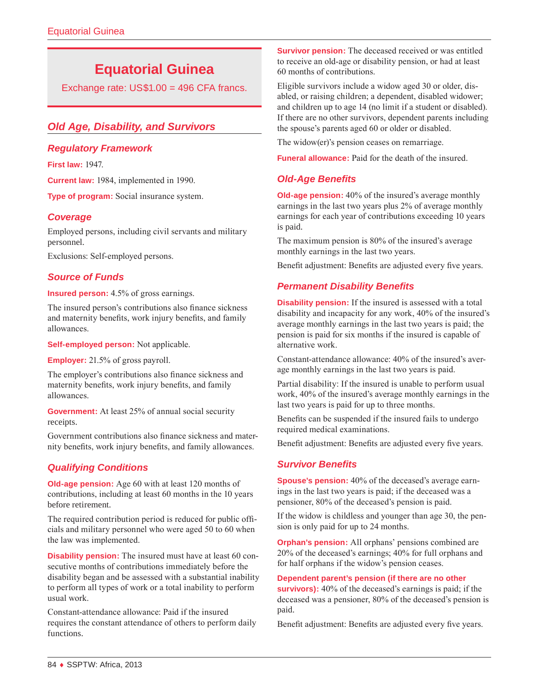# **Equatorial Guinea**

Exchange rate: US\$1.00 = 496 CFA francs.

# *Old Age, Disability, and Survivors*

# *Regulatory Framework*

**First law:** 1947.

**Current law:** 1984, implemented in 1990.

**Type of program:** Social insurance system.

# *Coverage*

Employed persons, including civil servants and military personnel.

Exclusions: Self-employed persons.

# *Source of Funds*

**Insured person:** 4.5% of gross earnings.

The insured person's contributions also finance sickness and maternity benefits, work injury benefits, and family allowances.

**Self-employed person:** Not applicable.

**Employer:** 21.5% of gross payroll.

The employer's contributions also finance sickness and maternity benefits, work injury benefits, and family allowances.

**Government:** At least 25% of annual social security receipts.

Government contributions also finance sickness and maternity benefits, work injury benefits, and family allowances.

# *Qualifying Conditions*

**Old-age pension:** Age 60 with at least 120 months of contributions, including at least 60 months in the 10 years before retirement.

The required contribution period is reduced for public officials and military personnel who were aged 50 to 60 when the law was implemented.

**Disability pension:** The insured must have at least 60 consecutive months of contributions immediately before the disability began and be assessed with a substantial inability to perform all types of work or a total inability to perform usual work.

Constant-attendance allowance: Paid if the insured requires the constant attendance of others to perform daily functions.

**Survivor pension:** The deceased received or was entitled to receive an old-age or disability pension, or had at least 60 months of contributions.

Eligible survivors include a widow aged 30 or older, disabled, or raising children; a dependent, disabled widower; and children up to age 14 (no limit if a student or disabled). If there are no other survivors, dependent parents including the spouse's parents aged 60 or older or disabled.

The widow(er)'s pension ceases on remarriage.

**Funeral allowance:** Paid for the death of the insured.

# *Old-Age Benefits*

**Old-age pension:** 40% of the insured's average monthly earnings in the last two years plus 2% of average monthly earnings for each year of contributions exceeding 10 years is paid.

The maximum pension is 80% of the insured's average monthly earnings in the last two years.

Benefit adjustment: Benefits are adjusted every five years.

# *Permanent Disability Benefits*

**Disability pension:** If the insured is assessed with a total disability and incapacity for any work, 40% of the insured's average monthly earnings in the last two years is paid; the pension is paid for six months if the insured is capable of alternative work.

Constant-attendance allowance: 40% of the insured's average monthly earnings in the last two years is paid.

Partial disability: If the insured is unable to perform usual work, 40% of the insured's average monthly earnings in the last two years is paid for up to three months.

Benefits can be suspended if the insured fails to undergo required medical examinations.

Benefit adjustment: Benefits are adjusted every five years.

# *Survivor Benefits*

**Spouse's pension:** 40% of the deceased's average earnings in the last two years is paid; if the deceased was a pensioner, 80% of the deceased's pension is paid.

If the widow is childless and younger than age 30, the pension is only paid for up to 24 months.

**Orphan's pension:** All orphans' pensions combined are 20% of the deceased's earnings; 40% for full orphans and for half orphans if the widow's pension ceases.

**Dependent parent's pension (if there are no other survivors):** 40% of the deceased's earnings is paid; if the deceased was a pensioner, 80% of the deceased's pension is paid.

Benefit adjustment: Benefits are adjusted every five years.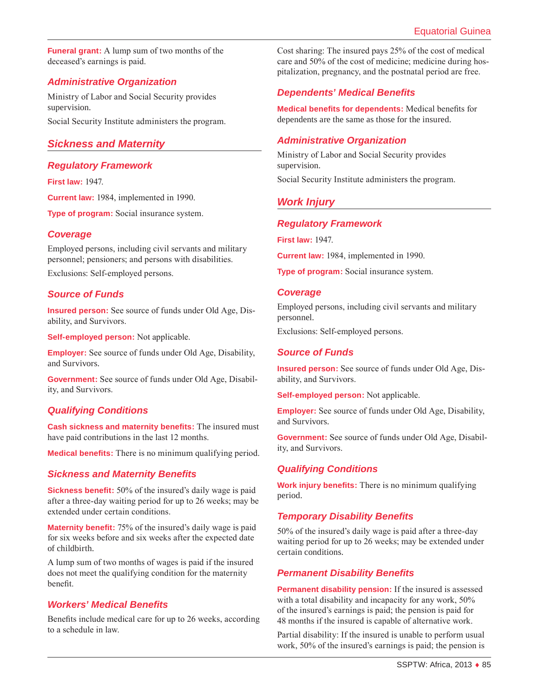**Funeral grant:** A lump sum of two months of the deceased's earnings is paid.

# *Administrative Organization*

Ministry of Labor and Social Security provides supervision. Social Security Institute administers the program.

# *Sickness and Maternity*

# *Regulatory Framework*

**First law:** 1947.

**Current law:** 1984, implemented in 1990.

**Type of program:** Social insurance system.

# *Coverage*

Employed persons, including civil servants and military personnel; pensioners; and persons with disabilities.

Exclusions: Self-employed persons.

# *Source of Funds*

**Insured person:** See source of funds under Old Age, Disability, and Survivors.

**Self-employed person:** Not applicable.

**Employer:** See source of funds under Old Age, Disability, and Survivors.

**Government:** See source of funds under Old Age, Disability, and Survivors.

# *Qualifying Conditions*

**Cash sickness and maternity benefits:** The insured must have paid contributions in the last 12 months.

**Medical benefits:** There is no minimum qualifying period.

# *Sickness and Maternity Benefits*

**Sickness benefit:** 50% of the insured's daily wage is paid after a three-day waiting period for up to 26 weeks; may be extended under certain conditions.

**Maternity benefit:** 75% of the insured's daily wage is paid for six weeks before and six weeks after the expected date of childbirth.

A lump sum of two months of wages is paid if the insured does not meet the qualifying condition for the maternity benefit.

# *Workers' Medical Benefits*

Benefits include medical care for up to 26 weeks, according to a schedule in law.

Cost sharing: The insured pays 25% of the cost of medical care and 50% of the cost of medicine; medicine during hospitalization, pregnancy, and the postnatal period are free.

# *Dependents' Medical Benefits*

**Medical benefits for dependents:** Medical benefits for dependents are the same as those for the insured.

# *Administrative Organization*

Ministry of Labor and Social Security provides supervision.

Social Security Institute administers the program.

# *Work Injury*

#### *Regulatory Framework*

**First law:** 1947.

**Current law:** 1984, implemented in 1990.

**Type of program:** Social insurance system.

#### *Coverage*

Employed persons, including civil servants and military personnel.

Exclusions: Self-employed persons.

#### *Source of Funds*

**Insured person:** See source of funds under Old Age, Disability, and Survivors.

**Self-employed person:** Not applicable.

**Employer:** See source of funds under Old Age, Disability, and Survivors.

**Government:** See source of funds under Old Age, Disability, and Survivors.

# *Qualifying Conditions*

**Work injury benefits:** There is no minimum qualifying period.

# *Temporary Disability Benefits*

50% of the insured's daily wage is paid after a three-day waiting period for up to 26 weeks; may be extended under certain conditions.

# *Permanent Disability Benefits*

**Permanent disability pension:** If the insured is assessed with a total disability and incapacity for any work, 50% of the insured's earnings is paid; the pension is paid for 48 months if the insured is capable of alternative work.

Partial disability: If the insured is unable to perform usual work, 50% of the insured's earnings is paid; the pension is